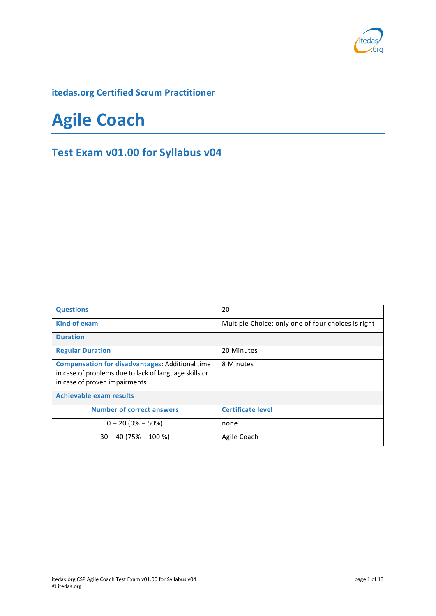

**itedas.org Certified Scrum Practitioner**

# **Agile Coach**

# **Test Exam v01.00 for Syllabus v04**

| <b>Questions</b>                                                                                                                                 | 20                                                 |  |  |  |
|--------------------------------------------------------------------------------------------------------------------------------------------------|----------------------------------------------------|--|--|--|
| Kind of exam                                                                                                                                     | Multiple Choice; only one of four choices is right |  |  |  |
| <b>Duration</b>                                                                                                                                  |                                                    |  |  |  |
| <b>Regular Duration</b>                                                                                                                          | 20 Minutes                                         |  |  |  |
| <b>Compensation for disadvantages: Additional time</b><br>in case of problems due to lack of language skills or<br>in case of proven impairments | 8 Minutes                                          |  |  |  |
| Achievable exam results                                                                                                                          |                                                    |  |  |  |
| <b>Number of correct answers</b>                                                                                                                 | <b>Certificate level</b>                           |  |  |  |
| $0 - 20 (0\% - 50\%)$                                                                                                                            | none                                               |  |  |  |
| $30 - 40(75\% - 100\%)$                                                                                                                          | Agile Coach                                        |  |  |  |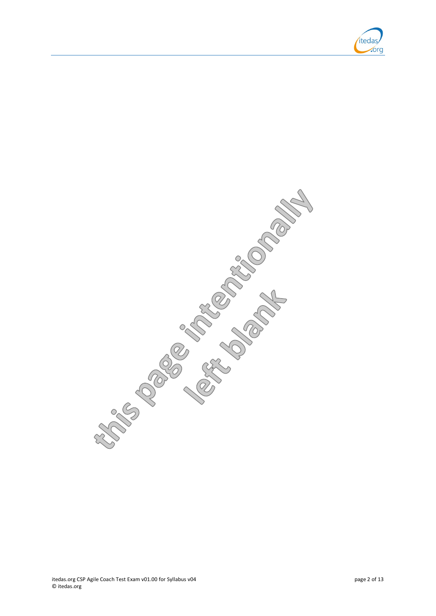

Maria Care Maria Maria La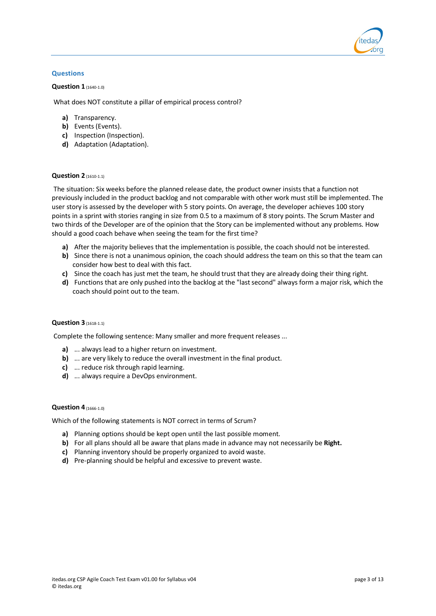

# **Questions**

### **Question 1** (1640-1.0)

What does NOT constitute a pillar of empirical process control?

- **a)** Transparency.
- **b)** Events (Events).
- **c)** Inspection (Inspection).
- **d)** Adaptation (Adaptation).

#### **Question 2** (1610-1.1)

The situation: Six weeks before the planned release date, the product owner insists that a function not previously included in the product backlog and not comparable with other work must still be implemented. The user story is assessed by the developer with 5 story points. On average, the developer achieves 100 story points in a sprint with stories ranging in size from 0.5 to a maximum of 8 story points. The Scrum Master and two thirds of the Developer are of the opinion that the Story can be implemented without any problems. How should a good coach behave when seeing the team for the first time?

- **a)** After the majority believes that the implementation is possible, the coach should not be interested.
- **b)** Since there is not a unanimous opinion, the coach should address the team on this so that the team can consider how best to deal with this fact.
- **c)** Since the coach has just met the team, he should trust that they are already doing their thing right.
- **d)** Functions that are only pushed into the backlog at the "last second" always form a major risk, which the coach should point out to the team.

#### **Question 3** (1618-1.1)

Complete the following sentence: Many smaller and more frequent releases ...

- **a)** ... always lead to a higher return on investment.
- **b)** ... are very likely to reduce the overall investment in the final product.
- **c)** ... reduce risk through rapid learning.
- **d)** ... always require a DevOps environment.

#### **Question 4** (1666-1.0)

Which of the following statements is NOT correct in terms of Scrum?

- **a)** Planning options should be kept open until the last possible moment.
- **b)** For all plans should all be aware that plans made in advance may not necessarily be **Right.**
- **c)** Planning inventory should be properly organized to avoid waste.
- **d)** Pre-planning should be helpful and excessive to prevent waste.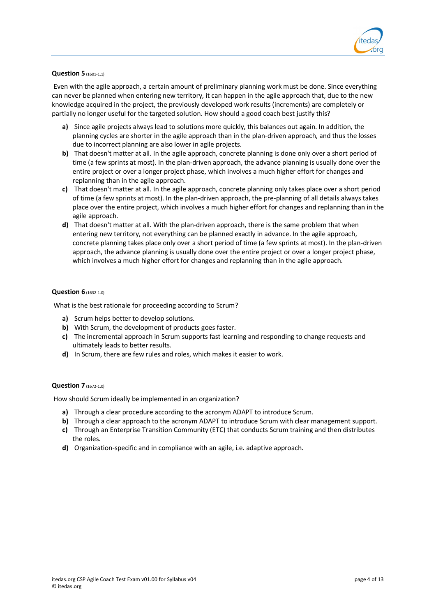

#### **Question 5** (1601-1.1)

Even with the agile approach, a certain amount of preliminary planning work must be done. Since everything can never be planned when entering new territory, it can happen in the agile approach that, due to the new knowledge acquired in the project, the previously developed work results (increments) are completely or partially no longer useful for the targeted solution. How should a good coach best justify this?

- **a)** Since agile projects always lead to solutions more quickly, this balances out again. In addition, the planning cycles are shorter in the agile approach than in the plan-driven approach, and thus the losses due to incorrect planning are also lower in agile projects.
- **b)** That doesn't matter at all. In the agile approach, concrete planning is done only over a short period of time (a few sprints at most). In the plan-driven approach, the advance planning is usually done over the entire project or over a longer project phase, which involves a much higher effort for changes and replanning than in the agile approach.
- **c)** That doesn't matter at all. In the agile approach, concrete planning only takes place over a short period of time (a few sprints at most). In the plan-driven approach, the pre-planning of all details always takes place over the entire project, which involves a much higher effort for changes and replanning than in the agile approach.
- **d)** That doesn't matter at all. With the plan-driven approach, there is the same problem that when entering new territory, not everything can be planned exactly in advance. In the agile approach, concrete planning takes place only over a short period of time (a few sprints at most). In the plan-driven approach, the advance planning is usually done over the entire project or over a longer project phase, which involves a much higher effort for changes and replanning than in the agile approach.

# **Question 6** (1632-1.0)

What is the best rationale for proceeding according to Scrum?

- **a)** Scrum helps better to develop solutions.
- **b)** With Scrum, the development of products goes faster.
- **c)** The incremental approach in Scrum supports fast learning and responding to change requests and ultimately leads to better results.
- **d)** In Scrum, there are few rules and roles, which makes it easier to work.

#### **Question 7** (1672-1.0)

How should Scrum ideally be implemented in an organization?

- **a)** Through a clear procedure according to the acronym ADAPT to introduce Scrum.
- **b)** Through a clear approach to the acronym ADAPT to introduce Scrum with clear management support.
- **c)** Through an Enterprise Transition Community (ETC) that conducts Scrum training and then distributes the roles.
- **d)** Organization-specific and in compliance with an agile, i.e. adaptive approach.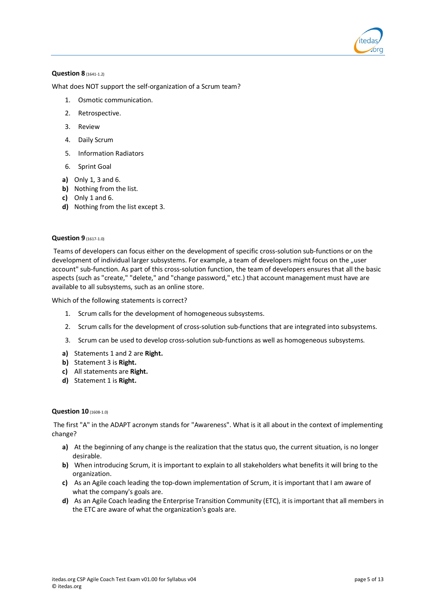

# **Question 8** (1641-1.2)

What does NOT support the self-organization of a Scrum team?

- 1. Osmotic communication.
- 2. Retrospective.
- 3. Review
- 4. Daily Scrum
- 5. Information Radiators
- 6. Sprint Goal
- **a)** Only 1, 3 and 6.
- **b)** Nothing from the list.
- **c)** Only 1 and 6.
- **d)** Nothing from the list except 3.

# **Question 9** (1617-1.0)

Teams of developers can focus either on the development of specific cross-solution sub-functions or on the development of individual larger subsystems. For example, a team of developers might focus on the "user account" sub-function. As part of this cross-solution function, the team of developers ensures that all the basic aspects (such as "create," "delete," and "change password," etc.) that account management must have are available to all subsystems, such as an online store.

Which of the following statements is correct?

- 1. Scrum calls for the development of homogeneous subsystems.
- 2. Scrum calls for the development of cross-solution sub-functions that are integrated into subsystems.
- 3. Scrum can be used to develop cross-solution sub-functions as well as homogeneous subsystems.
- **a)** Statements 1 and 2 are **Right.**
- **b)** Statement 3 is **Right.**
- **c)** All statements are **Right.**
- **d)** Statement 1 is **Right.**

#### **Question 10** (1608-1.0)

The first "A" in the ADAPT acronym stands for "Awareness". What is it all about in the context of implementing change?

- **a)** At the beginning of any change is the realization that the status quo, the current situation, is no longer desirable.
- **b)** When introducing Scrum, it is important to explain to all stakeholders what benefits it will bring to the organization.
- **c)** As an Agile coach leading the top-down implementation of Scrum, it is important that I am aware of what the company's goals are.
- **d)** As an Agile Coach leading the Enterprise Transition Community (ETC), it is important that all members in the ETC are aware of what the organization's goals are.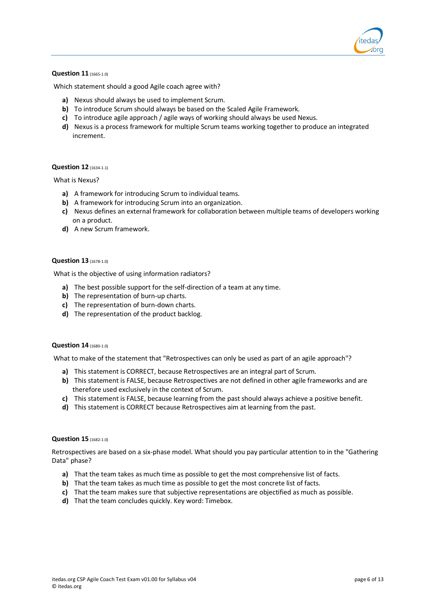

#### **Question 11** (1665-1.0)

Which statement should a good Agile coach agree with?

- **a)** Nexus should always be used to implement Scrum.
- **b)** To introduce Scrum should always be based on the Scaled Agile Framework.
- **c)** To introduce agile approach / agile ways of working should always be used Nexus.
- **d)** Nexus is a process framework for multiple Scrum teams working together to produce an integrated increment.

# **Question 12** (1634-1.1)

What is Nexus?

- **a)** A framework for introducing Scrum to individual teams.
- **b)** A framework for introducing Scrum into an organization.
- **c)** Nexus defines an external framework for collaboration between multiple teams of developers working on a product.
- **d)** A new Scrum framework.

#### **Question 13** (1678-1.0)

What is the objective of using information radiators?

- **a)** The best possible support for the self-direction of a team at any time.
- **b)** The representation of burn-up charts.
- **c)** The representation of burn-down charts.
- **d)** The representation of the product backlog.

# **Question 14** (1680-1.0)

What to make of the statement that "Retrospectives can only be used as part of an agile approach"?

- **a)** This statement is CORRECT, because Retrospectives are an integral part of Scrum.
- **b)** This statement is FALSE, because Retrospectives are not defined in other agile frameworks and are therefore used exclusively in the context of Scrum.
- **c)** This statement is FALSE, because learning from the past should always achieve a positive benefit.
- **d)** This statement is CORRECT because Retrospectives aim at learning from the past.

# **Question 15** (1682-1.0)

Retrospectives are based on a six-phase model. What should you pay particular attention to in the "Gathering Data" phase?

- **a)** That the team takes as much time as possible to get the most comprehensive list of facts.
- **b)** That the team takes as much time as possible to get the most concrete list of facts.
- **c)** That the team makes sure that subjective representations are objectified as much as possible.
- **d)** That the team concludes quickly. Key word: Timebox.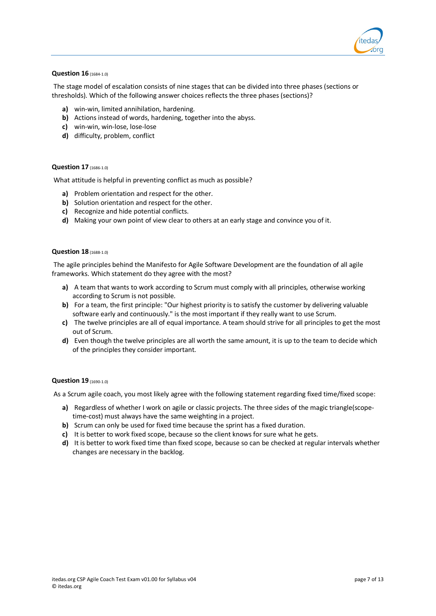

# **Question 16** (1684-1.0)

The stage model of escalation consists of nine stages that can be divided into three phases (sections or thresholds). Which of the following answer choices reflects the three phases (sections)?

- **a)** win-win, limited annihilation, hardening.
- **b)** Actions instead of words, hardening, together into the abyss.
- **c)** win-win, win-lose, lose-lose
- **d)** difficulty, problem, conflict

#### **Question 17** (1686-1.0)

What attitude is helpful in preventing conflict as much as possible?

- **a)** Problem orientation and respect for the other.
- **b)** Solution orientation and respect for the other.
- **c)** Recognize and hide potential conflicts.
- **d)** Making your own point of view clear to others at an early stage and convince you of it.

#### **Question 18** (1688-1.0)

The agile principles behind the Manifesto for Agile Software Development are the foundation of all agile frameworks. Which statement do they agree with the most?

- **a)** A team that wants to work according to Scrum must comply with all principles, otherwise working according to Scrum is not possible.
- **b)** For a team, the first principle: "Our highest priority is to satisfy the customer by delivering valuable software early and continuously." is the most important if they really want to use Scrum.
- **c)** The twelve principles are all of equal importance. A team should strive for all principles to get the most out of Scrum.
- **d)** Even though the twelve principles are all worth the same amount, it is up to the team to decide which of the principles they consider important.

#### **Question 19** (1690-1.0)

As a Scrum agile coach, you most likely agree with the following statement regarding fixed time/fixed scope:

- **a)** Regardless of whether I work on agile or classic projects. The three sides of the magic triangle(scopetime-cost) must always have the same weighting in a project.
- **b)** Scrum can only be used for fixed time because the sprint has a fixed duration.
- **c)** It is better to work fixed scope, because so the client knows for sure what he gets.
- **d)** It is better to work fixed time than fixed scope, because so can be checked at regular intervals whether changes are necessary in the backlog.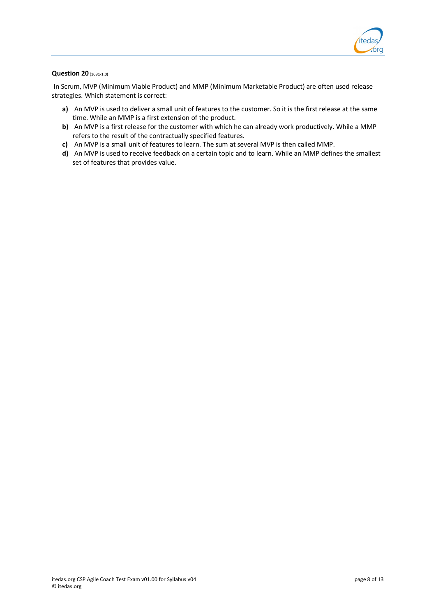

# **Question 20** (1691-1.0)

In Scrum, MVP (Minimum Viable Product) and MMP (Minimum Marketable Product) are often used release strategies. Which statement is correct:

- **a)** An MVP is used to deliver a small unit of features to the customer. So it is the first release at the same time. While an MMP is a first extension of the product.
- **b)** An MVP is a first release for the customer with which he can already work productively. While a MMP refers to the result of the contractually specified features.
- **c)** An MVP is a small unit of features to learn. The sum at several MVP is then called MMP.
- **d)** An MVP is used to receive feedback on a certain topic and to learn. While an MMP defines the smallest set of features that provides value.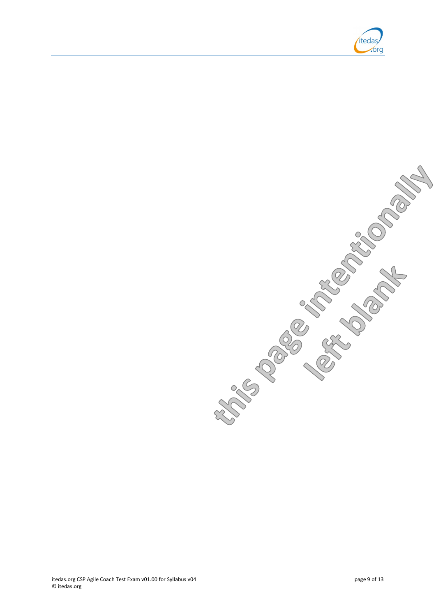

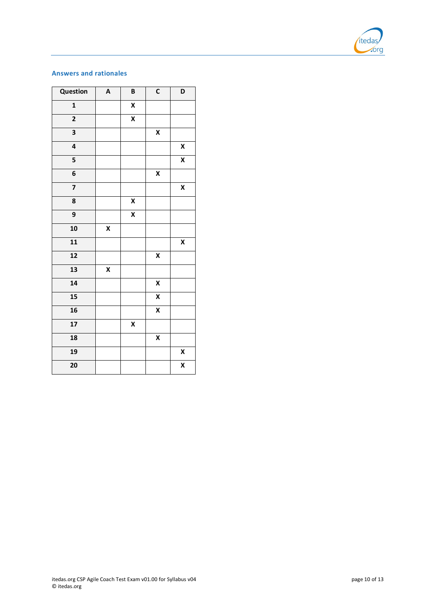

# **Answers and rationales**

| Question                | $\boldsymbol{\mathsf{A}}$ | B                       | $\mathsf{C}$       | D                         |
|-------------------------|---------------------------|-------------------------|--------------------|---------------------------|
| $\mathbf{1}$            |                           | X                       |                    |                           |
| $\overline{\mathbf{c}}$ |                           | $\overline{\mathbf{x}}$ |                    |                           |
| $\overline{\mathbf{3}}$ |                           |                         | X                  |                           |
| $\overline{\mathbf{4}}$ |                           |                         |                    | $\boldsymbol{\mathsf{x}}$ |
| 5                       |                           |                         |                    | $\overline{\mathbf{x}}$   |
| $\overline{\mathbf{6}}$ |                           |                         | X                  |                           |
|                         |                           |                         |                    | $\overline{\mathbf{x}}$   |
| 8                       |                           | $\overline{\mathbf{X}}$ |                    |                           |
| $\overline{9}$          |                           | $\overline{\mathbf{x}}$ |                    |                           |
| 10                      | X                         |                         |                    |                           |
| $\overline{11}$         |                           |                         |                    | $\mathbf{\overline{X}}$   |
| $\overline{12}$         |                           |                         | X                  |                           |
| 13                      | X                         |                         |                    |                           |
| 14                      |                           |                         | $\pmb{\mathsf{x}}$ |                           |
| 15                      |                           |                         | X                  |                           |
| 16                      |                           |                         | X                  |                           |
| 17                      |                           | $\overline{\mathbf{x}}$ |                    |                           |
| 18                      |                           |                         | X                  |                           |
| 19                      |                           |                         |                    | X                         |
| 20                      |                           |                         |                    | X                         |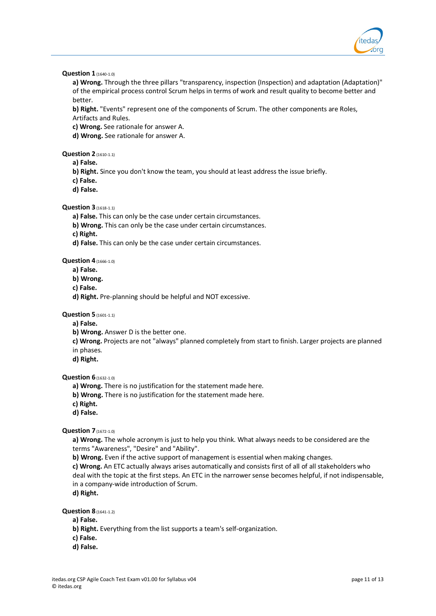

**Question 1** (1640-1.0)

**a) Wrong.** Through the three pillars "transparency, inspection (Inspection) and adaptation (Adaptation)" of the empirical process control Scrum helps in terms of work and result quality to become better and better.

**b) Right.** "Events" represent one of the components of Scrum. The other components are Roles, Artifacts and Rules.

**c) Wrong.** See rationale for answer A.

**d) Wrong.** See rationale for answer A.

**Question 2** (1610-1.1)

**a) False.**

**b) Right.** Since you don't know the team, you should at least address the issue briefly.

**c) False.**

**d) False.**

**Question 3** (1618-1.1)

**a) False.** This can only be the case under certain circumstances.

**b) Wrong.** This can only be the case under certain circumstances.

**c) Right.**

**d) False.** This can only be the case under certain circumstances.

**Question 4** (1666-1.0)

**a) False.**

**b) Wrong.**

**c) False.**

**d) Right.** Pre-planning should be helpful and NOT excessive.

**Question 5** (1601-1.1)

**a) False.**

**b) Wrong.** Answer D is the better one.

**c) Wrong.** Projects are not "always" planned completely from start to finish. Larger projects are planned

in phases.

**d) Right.**

**Question 6** (1632-1.0)

**a) Wrong.** There is no justification for the statement made here.

**b) Wrong.** There is no justification for the statement made here.

**c) Right.**

**d) False.**

**Question 7** (1672-1.0)

**a) Wrong.** The whole acronym is just to help you think. What always needs to be considered are the terms "Awareness", "Desire" and "Ability".

**b) Wrong.** Even if the active support of management is essential when making changes.

**c) Wrong.** An ETC actually always arises automatically and consists first of all of all stakeholders who deal with the topic at the first steps. An ETC in the narrower sense becomes helpful, if not indispensable, in a company-wide introduction of Scrum.

**d) Right.**

**Question 8** (1641-1.2)

**a) False.**

**b) Right.** Everything from the list supports a team's self-organization.

**c) False.**

**d) False.**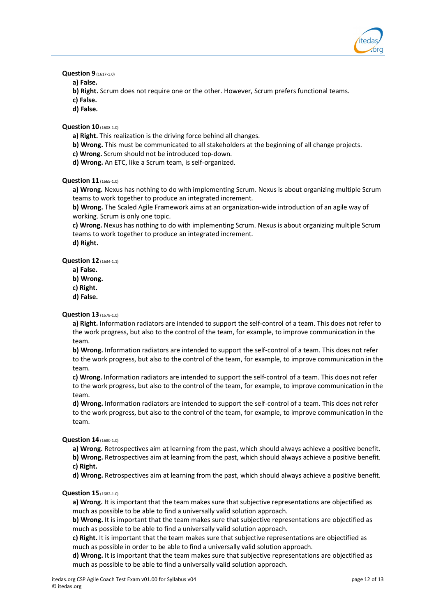

**Question 9** (1617-1.0)

**a) False.**

**b) Right.** Scrum does not require one or the other. However, Scrum prefers functional teams.

**c) False.**

**d) False.**

**Question 10** (1608-1.0)

**a) Right.** This realization is the driving force behind all changes.

**b) Wrong.** This must be communicated to all stakeholders at the beginning of all change projects.

**c) Wrong.** Scrum should not be introduced top-down.

**d) Wrong.** An ETC, like a Scrum team, is self-organized.

**Question 11** (1665-1.0)

**a) Wrong.** Nexus has nothing to do with implementing Scrum. Nexus is about organizing multiple Scrum teams to work together to produce an integrated increment.

**b) Wrong.** The Scaled Agile Framework aims at an organization-wide introduction of an agile way of working. Scrum is only one topic.

**c) Wrong.** Nexus has nothing to do with implementing Scrum. Nexus is about organizing multiple Scrum teams to work together to produce an integrated increment. **d) Right.**

**Question 12** (1634-1.1)

**a) False.**

**b) Wrong.**

**c) Right.**

**d) False.**

#### **Question 13** (1678-1.0)

**a) Right.** Information radiators are intended to support the self-control of a team. This does not refer to the work progress, but also to the control of the team, for example, to improve communication in the team.

**b) Wrong.** Information radiators are intended to support the self-control of a team. This does not refer to the work progress, but also to the control of the team, for example, to improve communication in the team.

**c) Wrong.** Information radiators are intended to support the self-control of a team. This does not refer to the work progress, but also to the control of the team, for example, to improve communication in the team.

**d) Wrong.** Information radiators are intended to support the self-control of a team. This does not refer to the work progress, but also to the control of the team, for example, to improve communication in the team.

# **Question 14** (1680-1.0)

**a) Wrong.** Retrospectives aim at learning from the past, which should always achieve a positive benefit.

**b) Wrong.** Retrospectives aim at learning from the past, which should always achieve a positive benefit. **c) Right.**

**d) Wrong.** Retrospectives aim at learning from the past, which should always achieve a positive benefit.

# **Question 15** (1682-1.0)

**a) Wrong.** It is important that the team makes sure that subjective representations are objectified as much as possible to be able to find a universally valid solution approach.

**b) Wrong.** It is important that the team makes sure that subjective representations are objectified as much as possible to be able to find a universally valid solution approach.

**c) Right.** It is important that the team makes sure that subjective representations are objectified as much as possible in order to be able to find a universally valid solution approach.

**d) Wrong.** It is important that the team makes sure that subjective representations are objectified as much as possible to be able to find a universally valid solution approach.